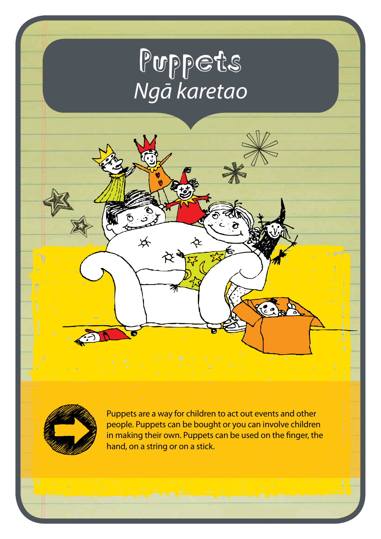# Puppets *Ngā karetao*

为



Puppets are a way for children to act out events and other people. Puppets can be bought or you can involve children in making their own. Puppets can be used on the finger, the hand, on a string or on a stick.